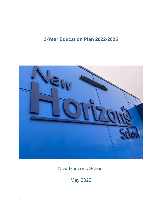# **3-Year Education Plan 2022-2025**



New Horizons School

May 2022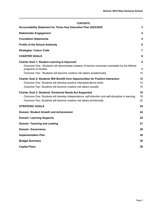#### **CONTENTS**

| Accountability Statement for Three-Year Education Plan 2022/2025                                                                                                                                                                                  | $\overline{3}$ |
|---------------------------------------------------------------------------------------------------------------------------------------------------------------------------------------------------------------------------------------------------|----------------|
| <b>Stakeholder Engagement</b>                                                                                                                                                                                                                     | 4              |
| <b>Foundation Statements</b>                                                                                                                                                                                                                      | 5              |
| <b>Profile of the School Authority</b>                                                                                                                                                                                                            | 6              |
| <b>Strategies: Colour Code</b>                                                                                                                                                                                                                    | 7              |
| <b>CHARTER GOALS</b>                                                                                                                                                                                                                              | 8              |
| <b>Charter Goal 1: Student Learning Is Improved</b><br>Outcome One: Students will demonstrate mastery of learner outcomes mandated by the Alberta<br>programs of studies.<br>Outcome Two: Students will become creative risk takers academically. | 8<br>8<br>10   |
| <b>Charter Goal 2: Students Will Benefit from Opportunities for Positive Interaction</b><br>Outcome One: Students will develop positive interdependence skills.<br>Outcome Two: Students will become creative risk takers socially.               | 12<br>12<br>15 |
| <b>Charter Goal 3: Students' Emotional Needs Are Supported</b><br>Outcome One: Students will develop independence, self-direction and self-discipline in learning.<br>Outcome Two: Students will become creative risk takers emotionally.         | 18<br>18<br>22 |
| <b>STRATEGIC GOALS</b>                                                                                                                                                                                                                            | 24             |
| <b>Domain: Student Growth and Achievement</b>                                                                                                                                                                                                     | 24             |
| <b>Domain: Learning Supports</b>                                                                                                                                                                                                                  | 25             |
| <b>Domain: Teaching and Leading</b>                                                                                                                                                                                                               | 27             |
| <b>Domain: Governance</b>                                                                                                                                                                                                                         | 28             |
| <b>Implementation Plan</b>                                                                                                                                                                                                                        | 30             |
| <b>Budget Summary</b>                                                                                                                                                                                                                             | 30             |
| <b>Capital Plans</b>                                                                                                                                                                                                                              | 30             |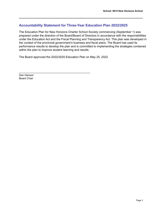# <span id="page-2-0"></span>**Accountability Statement for Three-Year Education Plan 2022/2025**

The Education Plan for New Horizons Charter School Society commencing (September 1) was prepared under the direction of the Board/Board of Directors in accordance with the responsibilities under the Education Act and the Fiscal Planning and Transparency Act. This plan was developed in the context of the provincial government's business and fiscal plans. The Board has used its performance results to develop the plan and is committed to implementing the strategies contained within the plan to improve student learning and results.

The Board approved the 2022/2025 Education Plan on May 25, 2022.

\_\_\_\_\_\_\_\_\_\_\_\_\_\_\_\_\_\_\_\_\_\_\_\_\_\_\_\_\_\_\_\_\_\_\_\_\_\_\_\_\_\_\_\_

Dan Hanson Board Chair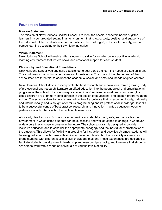### <span id="page-3-0"></span>**Foundation Statements**

#### **Mission Statement**

The mission of New Horizons Charter School is to meet the special academic needs of gifted learners in a congregated setting in an environment that is low-anxiety, positive, and supportive of the individual. Gifted students need opportunities to be challenged, to think alternatively, and to pursue learning according to their own learning styles.

### **Vision Statement**

New Horizons School will enable gifted students to strive for excellence in a positive academic learning environment that fosters social and emotional support for each student.

### **Philosophy and Educational Foundations**

New Horizons School was originally established to best serve the learning needs of gifted children. This continues to be its fundamental reason for existence. The goals of the charter and of the school itself are threefold: to address the academic, social, and emotional needs of gifted children.

New Horizons School strives to incorporate the best research and innovations from a growing body of professional and research literature on gifted education into the pedagogical and organizational programs of the school. The often-unique academic and social-emotional needs and strengths of gifted children are of primary consideration in the design of educational and support programs at the school. The school strives to be a renowned centre of excellence that is respected locally, nationally and internationally, and is sought after for its programming and its professional knowledge. It seeks to be a successful centre of best practice, research, and innovation in gifted education, open to partnerships with others within the limits of its resources.

Above all, New Horizons School strives to provide a student-focused, safe, supportive learning environment in which gifted students can be successful and well equipped to engage in whatever endeavours they choose to pursue in the future. The school program is designed to provide inclusive education and to consider the appropriate pedagogy and the individual characteristics of the students. This allows for flexibility in grouping for instruction and activities. At times, students will be assigned to work with those with similar achievement levels, but the possibility also exists to group students with different levels of skill/knowledge mastery. These experiences are designed to facilitate students' development in leadership and mentorship capacity, and to ensure that students are able to work with a range of individuals at various levels of ability.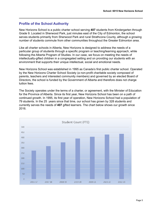# <span id="page-4-0"></span>**Profile of the School Authority**

New Horizons School is a public charter school serving **407** students from Kindergarten through Grade 9. Located in Sherwood Park, just minutes east of the City of Edmonton, the school serves students primarily from Sherwood Park and rural Strathcona County, although a growing number of students commute from other communities throughout the Greater Edmonton area.

Like all charter schools in Alberta, New Horizons is designed to address the needs of a particular group of students through a specific program or teaching/learning approach, while following the Alberta Program of Studies. In our case, we focus on meeting the needs of intellectually-gifted children in a congregated setting and on providing our students with an environment that supports their unique intellectual, social and emotional needs.

New Horizons School was established in 1995 as Canada's first public charter school. Operated by the New Horizons Charter School Society (a non-profit charitable society composed of parents, teachers and interested community members) and governed by an elected Board of Directors, the school is funded by the Government of Alberta and therefore does not charge tuition fees.

The Society operates under the terms of a charter, or agreement, with the Minister of Education for the Province of Alberta. Since its first year, New Horizons School has been on a path of continued growth. In 1995, its first year of operation, New Horizons School had a population of 79 students. In the 25 years since that time, our school has grown by 328 students and currently serves the needs of **407** gifted learners. The chart below shows our growth since 2016.

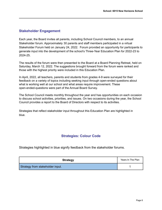# <span id="page-5-0"></span>**Stakeholder Engagement**

Each year, the Board invites all parents, including School Council members, to an annual Stakeholder forum. Approximately 30 parents and staff members participated in a virtual Stakeholder Forum held on January 24, 2022. Forum provided an opportunity for participants to generate input into the development of the school's Three-Year Education Plan for 2022-23 to 2024-25.

The results of the forum were then presented to the Board at a Board Planning Retreat, held on Saturday, March 12, 2022. The suggestions brought forward from the forum were ranked and those with the highest priority were included in this Education Plan.

In April, 2022, all teachers, parents and students from grades 4-9 were surveyed for their feedback on a variety of topics including seeking input through open-ended questions about what is working well at our school and what areas require improvement. These open-ended-questions were part of the Annual Board Survey.

The School Council meets monthly throughout the year and has opportunities on each occasion to discuss school activities, priorities, and issues. On two occasions during the year, the School Council provides a report to the Board of Directors with respect to its activities.

Strategies that reflect stakeholder input throughout this Education Plan are highlighted in blue.

# **Strategies: Colour Code**

Strategies highlighted in blue signify feedback from the stakeholder forums.

| <b>Strategy</b>                  | Years In The Plan |
|----------------------------------|-------------------|
| Strategy from stakeholder input. |                   |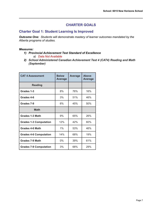# **CHARTER GOALS**

### <span id="page-6-1"></span><span id="page-6-0"></span>**Charter Goal 1: Student Learning Is Improved**

<span id="page-6-2"></span>*Outcome One: Students will demonstrate mastery of learner outcomes mandated by the Alberta programs of studies.*

### *Measures:*

- *1) Provincial Achievement Test Standard of Excellence a) Data Not Available*
- *2) School Administered Canadian Achievement Test 4 (CAT4) Reading and Math (September)*

| <b>CAT 4 Assessment</b>       | <b>Below</b><br><b>Average</b> | <b>Average</b> | <b>Above</b><br><b>Average</b> |
|-------------------------------|--------------------------------|----------------|--------------------------------|
| <b>Reading</b>                |                                |                |                                |
| Grades 1-3                    | 8%                             | 76%            |                                |
| Grades 4-6                    | 3%                             | 51%            | 46%                            |
| Grades 7-9                    | 6%                             | 45%            | 50%                            |
| <b>Math</b>                   |                                |                |                                |
| Grades 1-3 Math               | 9%                             | 65%            | 26%                            |
| <b>Grades 1-3 Computation</b> | 12%                            | 42%            | 60%                            |
| Grades 4-6 Math               | 1%                             | 53%            | 46%                            |
| <b>Grades 4-6 Computation</b> | 14%                            | 68%            | 19%                            |
| <b>Grades 7-9 Math</b>        | $0\%$                          | 39%            | 61%                            |
| <b>Grades 7-9 Computation</b> | 3%                             | 68%            | 29%                            |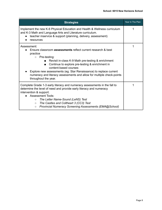| <b>Strategies</b>                                                                                                                                                                                                                                                                                                                                                                                                                 | Year In The Plan |
|-----------------------------------------------------------------------------------------------------------------------------------------------------------------------------------------------------------------------------------------------------------------------------------------------------------------------------------------------------------------------------------------------------------------------------------|------------------|
| Implement the new K-6 Physical Education and Health & Wellness curriculum<br>and K-3 Math and Language Arts and Literature curriculum.<br>teacher inservice & support (planning, delivery, assessment)<br>resources                                                                                                                                                                                                               |                  |
| Assessment:<br>Ensure classroom <b>assessments</b> reflect current research & best<br>practice<br>Pre-testing:<br>$\circ$<br>Revisit in-class K-9 Math pre-testing & enrichment<br>Continue to explore pre-testing & enrichment in<br>content-based courses<br>Explore new assessments (eg. Star Renaissance) to replace current<br>numeracy and literacy assessments and allow for multiple check-points<br>throughout the year. |                  |
| Complete Grade 1-3 early literacy and numeracy assessments in the fall to<br>determine the level of need and provide early literacy and numeracy<br>intervention & support.<br><b>Assessment Tools:</b><br>The Letter Name-Sound (LeNS) Test<br>$\circ$<br>The Castles and Coltheart 3 (CC3) Test<br>$\circ$<br><b>Provincial Numeracy Screening Assessments (EMA@School)</b><br>$\circ$                                          |                  |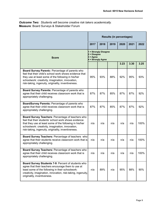### <span id="page-8-0"></span>*Outcome Two: Students will become creative risk takers academically.* **Measure**: Board Surveys & Stakeholder Forum

|                                                                                                                                                                                                                                                                                 | <b>Results (in percentages)</b>                                                     |      |      |      |      |      |  |
|---------------------------------------------------------------------------------------------------------------------------------------------------------------------------------------------------------------------------------------------------------------------------------|-------------------------------------------------------------------------------------|------|------|------|------|------|--|
|                                                                                                                                                                                                                                                                                 | 2017                                                                                | 2018 | 2019 | 2020 | 2021 | 2022 |  |
| <b>Score</b>                                                                                                                                                                                                                                                                    | 1 = Strongly Disagree<br>$2$ = Disagree<br>$3 = \text{Agree}$<br>4 = Strongly Agree |      |      |      |      |      |  |
|                                                                                                                                                                                                                                                                                 |                                                                                     |      |      | 3.23 | 3.30 | 3.25 |  |
| Board Survey Parents: Percentage of parents who<br>feel that their child's school work shows evidence that<br>they use at least some of the following in his/her<br>schoolwork: creativity, imagination, innovation,<br>risk-taking, ingenuity, originality, inventiveness.     | 95%                                                                                 | 93%  | 88%  | 92%  | 95%  | 93%  |  |
| Board Survey Parents: Percentage of parents who<br>agree that their child receives classroom work that is<br>appropriately challenging.                                                                                                                                         | 87%                                                                                 | 87%  | 85%  | 87%  | 87%  | 92%  |  |
| BoardSurvey Parents: Percentage of parents who<br>agree that their child receives classroom work that is<br>appropriately challenging.                                                                                                                                          | 87%                                                                                 | 87%  | 85%  | 87%  | 87%  | 92%  |  |
| Board Survey Teachers: Percentage of teachers who<br>feel that their students' school work shows evidence<br>that they use at least some of the following in his/her<br>schoolwork: creativity, imagination, innovation,<br>risk-taking, ingenuity, originality, inventiveness. | n/a                                                                                 | n/a  | n/a  | n/a  | n/a  | 100% |  |
| Board Survey Teachers: Percentage of teachers who<br>agree that their students receive classroom work that is<br>appropriately challenging.                                                                                                                                     | n/a                                                                                 | n/a  | n/a  | n/a  | n/a  | 100% |  |
| <b>Board Survey Teachers: Percentage of teachers who</b><br>agree that their child receives classroom work that is<br>appropriately challenging.                                                                                                                                | n/a                                                                                 | n/a  | n/a  | n/a  | n/a  | 100% |  |
| Board Survey Students 7-9: Percent of students who<br>agree that their teachers encourage them to use at<br>least some of the following in their schoolwork:<br>creativity, imagination, innovation, risk-taking, ingenuity,<br>originality, inventiveness.                     | n/a                                                                                 | 89%  | n/a  | 95%  | 88%  | 90%  |  |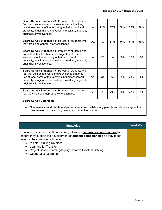| Board Survey Students 7-9: Percent of students who<br>feel that their school work shows evidence that they<br>use at least some of the following in their schoolwork:<br>creativity, imagination, innovation, risk-taking, ingenuity,<br>originality, inventiveness.        | n/a  | 92% | 87% | 88% | 85% | 78% |
|-----------------------------------------------------------------------------------------------------------------------------------------------------------------------------------------------------------------------------------------------------------------------------|------|-----|-----|-----|-----|-----|
| Board Survey Students 7-9: Percent of students who<br>they are being appropriately challenged                                                                                                                                                                               | n/a/ | n/a | 91% | 77% | 71% | 78% |
| Board Survey Students 4-6: Percent of students who<br>agree that their teachers encourage them to use at<br>least some of the following in their schoolwork:<br>creativity, imagination, innovation, risk-taking, ingenuity,<br>originality, inventiveness.                 | n/a  | 97% | n/a | 88% | 82% | 95% |
| <b>Board Survey Students 4-6: Percent of students who</b><br>feel that their school work shows evidence that they<br>use at least some of the following in their schoolwork:<br>creativity, imagination, innovation, risk-taking, ingenuity,<br>originality, inventiveness. | n/a  | 93% | 96% | 91% | 78% | 86% |
| Board Survey Students 4-6: Percent of students who<br>feel they are being appropriately challenged.                                                                                                                                                                         | n/a  | n/a | 79% | 70% | 78% | 81% |
| <b>Board Survey Comments:</b>                                                                                                                                                                                                                                               |      |     |     |     |     |     |
| Comments from students and parents are mixed. While many parents and students agree that                                                                                                                                                                                    |      |     |     |     |     |     |

their learning is challenging, many report that they are not.

| <b>Strategies</b>                                                                                                                                                                                                                                                                                                                                                              | Year in the Plan |
|--------------------------------------------------------------------------------------------------------------------------------------------------------------------------------------------------------------------------------------------------------------------------------------------------------------------------------------------------------------------------------|------------------|
| Continue to inservice staff on a variety of sound <b>pedagogical approaches</b> to<br>ensure they support the development of <b>student competencies</b> as they teach<br>towards the curricular outcomes.<br><b>Visible Thinking Routines</b><br>Learning for Transfer<br>Project Based Learning/Inquiry/Creative Problem Solving<br>$\bullet$<br><b>Cooperative Learning</b> | 3                |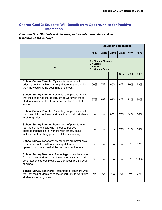# <span id="page-10-0"></span>**Charter Goal 2: Students Will Benefit from Opportunities for Positive Interaction**

<span id="page-10-1"></span>*Outcome One: Students will develop positive interdependence skills.* **Measure: Board Surveys**

|                                                                                                                                                                                                                      | <b>Results (in percentages)</b>                                                     |      |      |      |      |      |
|----------------------------------------------------------------------------------------------------------------------------------------------------------------------------------------------------------------------|-------------------------------------------------------------------------------------|------|------|------|------|------|
|                                                                                                                                                                                                                      | 2017                                                                                | 2018 | 2019 | 2020 | 2021 | 2022 |
| Score                                                                                                                                                                                                                | 1 = Strongly Disagree<br>$2$ = Disagree<br>$3 = \text{Agree}$<br>4 = Strongly Agree |      |      |      |      |      |
|                                                                                                                                                                                                                      |                                                                                     |      |      | 3.12 | 2.91 | 3.08 |
| School Survey Parents: My child is better able to<br>address conflict with others (e.g. differences of opinion)<br>than they could at the beginning of the year.                                                     | 60%                                                                                 | 71%  | 65%  | 67%  | 70%  | 79%  |
| School Survey Parents: Percentage of parents who feel<br>that their child has the opportunity to work with other<br>students to complete a task or accomplish a goal at<br>school.                                   | 97%                                                                                 | 93%  | 91%  | 87%  | 71%  | 80%  |
| School Survey Parents: Percentage of parents who feel<br>that their child has the opportunity to work with students<br>in other grades.                                                                              | n/a                                                                                 | n/a  | 85%  | 77%  | 44%  | 56%  |
| School Survey Parents: Percentage of parents who<br>feel their child is displaying increased positive<br>interdependence skills (working with others, being<br>inclusive, establishing positive relationships, etc.) | n/a                                                                                 | n/a  | n/a  | 78%  | 81%  | 88%  |
| School Survey Teachers: My students are better able<br>to address conflict with others (e.g. differences of<br>opinion) than they could at the beginning of the year.                                                | n/a                                                                                 | n/a  | n/a  | n/a  | n/a  | 92%  |
| School Survey Teachers: Percentage of teachers who<br>feel that their students have the opportunity to work with<br>other students to complete a task or accomplish a goal<br>at school.                             | n/a                                                                                 | n/a  | n/a  | n/a  | n/a  | 100% |
| School Survey Teachers: Percentage of teachers who<br>feel that their students have the opportunity to work with<br>students in other grades.                                                                        | n/a                                                                                 | n/a  | n/a  | n/a  | n/a  | 77%  |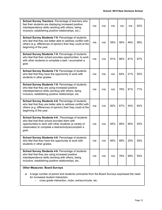| <b>School Survey Teachers: Percentage of teachers who</b><br>feel their students are displaying increased positive<br>interdependence skills (working with others, being<br>inclusive, establishing positive relationships, etc.) | n/a | n/a | n/a | n/a | n/a | 92% |
|-----------------------------------------------------------------------------------------------------------------------------------------------------------------------------------------------------------------------------------|-----|-----|-----|-----|-----|-----|
| School Survey Students 7-9: Percentage of students<br>who feel that they are better able to address conflict with<br>others (e.g. differences of opinion) than they could at the<br>beginning of the year.                        | n/a | n/a | 59% | 56% | 46% | 56% |
| School Survey Students 7-9: Percentage of students<br>who feel that their school provides opportunities to work<br>with other students to complete a task / accomplish a<br>goal.                                                 | n/a | n/a | 91% | 86% | 81% | 87% |
| School Survey Students 7-9: Percentage of students<br>who feel that they have the opportunity to work with<br>students in other grades.                                                                                           | n/a | n/a | n/a | 64% | 21% | 50% |
| School Survey Students 7-9: Percentage of students<br>who feel that they are using increased positive<br>interdependence skills (working with others, being<br>inclusive, establishing positive relationships, etc.               | n/a | n/a | n/a | 76% | 81% | 71% |
| School Survey Students 4-6: Percentage of students<br>who feel that they are better able to address conflict with<br>others (e.g. differences of opinion) than they could at the<br>beginning of the year.                        | n/a | n/a | 82% | 67% | 54% | 84% |
| School Survey Students 4-6 : Percentage of students<br>who feel that their school provides them with<br>opportunities to work with other students (a variety of<br>classmates) to complete a task/activity/accomplish a<br>goal   | n/a | n/a | 84% | 89% | 90% | 93% |
| School Survey Students 4-6: Percentage of students<br>who feel that they have the opportunity to work with<br>students in other grades.                                                                                           | n/a | n/a | 84% | 89% | 25% | 55% |
| School Survey Students 4-6: Percentage of students<br>who feel that they are using increased positive<br>interdependence skills (working with others, being<br>inclusive, establishing positive relationships, etc.               | n/a | n/a | n/a | 76% | 69% | 93% |

### **Other Measures: Board Surveys**

- A large number of parent and students comments from the Board Surveys expressed the need for increased student interaction.
	- cross grade interaction, clubs, extracurricular, etc.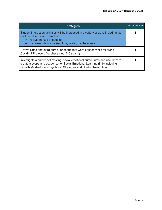| <b>Strategies</b>                                                                                                                                                                                                                  | Year in the Plan |  |  |  |
|------------------------------------------------------------------------------------------------------------------------------------------------------------------------------------------------------------------------------------|------------------|--|--|--|
| Student interaction activities will be increased in a variety of ways including, but<br>not limited to these examples:<br>revive the use of buddies<br>increase interhouse (Air, Fire, Water, Earth) events<br>$\bullet$           | 3                |  |  |  |
| Revive clubs and extra-curricular sports that were paused while following<br>Covid-19 Protocols (ie. chess club, 5-6 sports).                                                                                                      |                  |  |  |  |
| Investigate a number of existing, social emotional curriculums and use them to<br>create a scope and sequence for Social Emotional Learning (K-9) including<br>Growth Mindset, Self-Regulation Strategies and Conflict Resolution. |                  |  |  |  |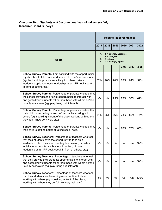## <span id="page-13-0"></span>*Outcome Two: Students will become creative risk takers socially.* **Measure: Board Surveys**

|                                                                                                                                                                                                                                                                                                          | <b>Results (in percentages)</b>                                                                             |      |      |      |      |      |
|----------------------------------------------------------------------------------------------------------------------------------------------------------------------------------------------------------------------------------------------------------------------------------------------------------|-------------------------------------------------------------------------------------------------------------|------|------|------|------|------|
|                                                                                                                                                                                                                                                                                                          | 2017                                                                                                        | 2018 | 2019 | 2020 | 2021 | 2022 |
| <b>Score</b>                                                                                                                                                                                                                                                                                             | 1 = Strongly Disagree<br>1.<br>2.<br>$2 = Disagree$<br>3.<br>$3 = \text{Agree}$<br>4 = Strongly Agree<br>4. |      |      |      |      |      |
|                                                                                                                                                                                                                                                                                                          |                                                                                                             |      |      | 3.03 | 3.09 | 3.05 |
| School Survey Parents: I am satisfied with the opportunities<br>my child has to take on a leadership role if he/she wants one<br>(eg. lead a club; provide an activity for others; take a<br>leadership option; choose leadership as an IPP goal, speak<br>in front of others, etc.)                     | 67%                                                                                                         | 70%  | 70%  | 69%  | 64%  | 59%  |
| School Survey Parents: Percentage of parents who feel that<br>the school provides their child opportunities to interact with<br>and get to know students other than those with whom he/she<br>usually associates (eg. play, hang out, interact).                                                         | n/a                                                                                                         | n/a  | 75%  | 72%  | 57%  | 69%  |
| School Survey Parents: Percentage of parents who feel that<br>their child is becoming more confident while working with<br>others (eg. speaking in front of the class, working with others<br>they don't know very well, etc.)                                                                           | 84%                                                                                                         | 85%  | 86%  | 78%  | 80%  | 76%  |
| School Survey Parents: Percentage of parents who feel that<br>their child is getting better at taking social risks.                                                                                                                                                                                      | n/a                                                                                                         | n/a  | n/a  | 70%  | 73%  | 85%  |
| School Survey Teachers: Percentage of teachers who feel<br>that their students have the opportunity to take on a<br>leadership role if they want one (eg. lead a club; provide an<br>activity for others; take a leadership option; choose<br>leadership as an IPP goal, speak in front of others, etc.) | n/a                                                                                                         | n/a  | n/a  | n/a  | n/a  | 92%  |
| School Survey Teachers: Percentage of teachers who feel<br>that they provide their students opportunities to interact with<br>and get to know students other than those with whom he/she<br>usually associates (eg. play, hang out, interact).                                                           | n/a                                                                                                         | n/a  | n/a  | n/a  | n/a  | 92%  |
| School Survey Teachers: Percentage of teachers who feel<br>that their students are becoming more confident while<br>working with others (eg. speaking in front of the class,<br>working with others they don't know very well, etc.)                                                                     | n/a                                                                                                         | n/a  | n/a  | n/a  | n/a  | 100% |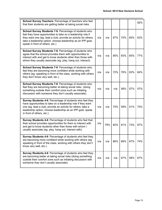| School Survey Teachers: Percentage of teachers who feel<br>that their students are getting better at taking social risks.                                                                                                                                                                   |     |     |     |     |     | 92% |
|---------------------------------------------------------------------------------------------------------------------------------------------------------------------------------------------------------------------------------------------------------------------------------------------|-----|-----|-----|-----|-----|-----|
| School Survey Students 7-9: Percentage of students who<br>feel they have opportunities to take on a leadership role if<br>they want one (eg. lead a club; provide an activity for others;<br>take a leadership option; choose leadership as an IPP goal,<br>speak in front of others, etc.) | n/a | n/a | 87% | 70% | 65% | 63% |
| School Survey Students 7-9: Percentage of students who<br>agree that the school provides them with opportunities to<br>interact with and get to know students other than those with<br>whom they usually associate (eg. play, hang out, interact).                                          | n/a | n/a | 85% | 83% | 65% | 77% |
| School Survey Students 7-9: Percentage of students who<br>feel they are becoming more confident while working with<br>others (eg. speaking in front of the class, working with others<br>they don't know very well, etc.).                                                                  | n/a | n/a | 72% | 76% | 63% | 64% |
| School Survey Students 7-9: Percentage of students who<br>feel they are becoming better at taking social risks (doing<br>something outside their comfort zone such as initiating<br>discussion with someone they don't usually associate).                                                  | n/a | n/a | n/a | 58% | 57% | 57% |
| Survey Students 4-6: Percentage of students who feel they<br>have opportunities to take on a leadership role if they want<br>one (eg. lead a club; provide an activity for others; take a<br>leadership option; choose leadership as an IPP goal, speak<br>in front of others, etc.).       | n/a | n/a | 70% | 59% | 51% | 70% |
| Survey Students 4-6: Percentage of students who feel that<br>their school provides opportunities for them to interact with<br>and get to know students other than those with whom I<br>usually associate (eg. play, hang out, interact with).                                               | n/a | 79% | 82% | 81% | 73% | 87% |
| Survey Students 4-6: Percentage of students who feel they<br>are becoming more confident while working with others (eg.<br>speaking in front of the class, working with others they don't<br>know very well, etc.).                                                                         | n/a | n/a | 86% | 68% | 67% | 74% |
| Survey Students 4-6: Percentage of students who feel they<br>are becoming better at taking social risks (doing something<br>outside their comfort zone such as initiating discussion with<br>someone they don't usually associate).                                                         | n/a | n/a | n/a | 67% | 56% | 67% |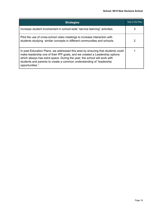| <b>Strategies</b>                                                                                                                                                                                                                                                                                                                      | Year in the Plan |
|----------------------------------------------------------------------------------------------------------------------------------------------------------------------------------------------------------------------------------------------------------------------------------------------------------------------------------------|------------------|
| Increase student involvement in school-wide "service learning" activities.                                                                                                                                                                                                                                                             |                  |
| Pilot the use of cross-school video meetings to increase interaction with<br>students studying similar concepts in different communities and schools.                                                                                                                                                                                  | 2                |
| In past Education Plans, we addressed this area by ensuring that students could<br>make leadership one of their IPP goals, and we created a Leadership options<br>which always has extra space. During the year, the school will work with<br>students and parents to create a common understanding of "leadership"<br>opportunities." |                  |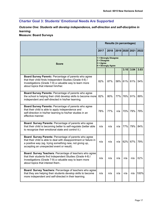# <span id="page-16-0"></span>**Charter Goal 3: Students' Emotional Needs Are Supported**

*Outcome One: Students will develop independence, self-direction and self-discipline in learning.*

<span id="page-16-1"></span>**Measure: Board Surveys**

|                                                                                                                                                                                                                                      | <b>Results (in percentages)</b> |                                                                                     |     |      |                           |      |  |  |  |
|--------------------------------------------------------------------------------------------------------------------------------------------------------------------------------------------------------------------------------------|---------------------------------|-------------------------------------------------------------------------------------|-----|------|---------------------------|------|--|--|--|
|                                                                                                                                                                                                                                      | 2017                            | 2018                                                                                |     |      | 2019   2020   2021   2022 |      |  |  |  |
| <b>Score</b>                                                                                                                                                                                                                         |                                 | 1 = Strongly Disagree<br>$2 = Disagree$<br>$3 = \text{Agree}$<br>4 = Strongly Agree |     |      |                           |      |  |  |  |
|                                                                                                                                                                                                                                      |                                 |                                                                                     |     | 3.10 | 3.04                      | 3.03 |  |  |  |
| Board Survey Parents: Percentage of parents who agree<br>that their child finds Independent Studies (Grade 4-6) /<br>Investigations (Grade 7-9) a valuable way to learn more<br>about topics that interest him/her.                  | 82%                             | 87%                                                                                 | 58% | 61%  | 61%                       | 54%  |  |  |  |
| Board Survey Parents: Percentage of parents who agree<br>the school is helping their child develop skills to become more<br>independent and self-directed in his/her learning.                                                       | 82%                             | 80%                                                                                 | 77% | 76%  | 91%                       | 89%  |  |  |  |
| Board Survey Parents: Percentage of parents who agree<br>that their child is able to apply independence and<br>self-direction in his/her learning to his/her studies in an<br>effective manner.                                      | 78%                             | 77%                                                                                 | n/a | 70%  | 79%                       | 79%  |  |  |  |
| Board Survey Parents: Percentage of parents who agree<br>that their child is becoming better to self-regulate (better able<br>to recognize their emotional state and control it.)                                                    | n/a                             | n/a                                                                                 | n/a | 77%  | 79%                       | 84%  |  |  |  |
| Board Survey Parents: Percentage of parents who agree<br>that their child is able to deal with disappointment or failure in<br>a positive way (eg. trying something new, not giving up,<br>accepting an unexpected event or result). | n/a                             | n/a                                                                                 | n/a | 62%  | 67%                       | 79%  |  |  |  |
| Board Survey Teachers: Percentage of teachers who agree<br>that their students find Independent Studies (Grade 4-6) /<br>Investigations (Grade 7-9) a valuable way to learn more<br>about topics that interest them                  | n/a                             | n/a                                                                                 | n/a | n/a  | n/a                       | 62%  |  |  |  |
| Board Survey Teachers: Percentage of teachers who agree<br>that they are helping their students develop skills to become<br>more independent and self-directed in their learning.                                                    | n/a                             | n/a                                                                                 | n/a | n/a  | n/a                       | 100% |  |  |  |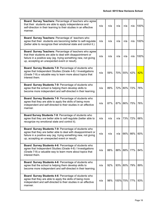| Board Survey Teachers: Percentage of teachers who agree<br>that their students are able to apply independence and<br>self-direction in their learning to their studies in an effective<br>manner.                                           | n/a | n/a | n/a      | n/a     | n/a | 100% |
|---------------------------------------------------------------------------------------------------------------------------------------------------------------------------------------------------------------------------------------------|-----|-----|----------|---------|-----|------|
| Board Survey Teachers: Percentage of teachers who<br>agree that their students are becoming better to self-regulate<br>(better able to recognize their emotional state and control it.)                                                     | n/a | n/a | n/a      | n/a     | n/a | 100% |
| Board Survey Teachers: Percentage of teachers who agree<br>that their students are able to deal with disappointment or<br>failure in a positive way (eg. trying something new, not giving<br>up, accepting an unexpected event or result).  | n/a | n/a | n/a      | n/a     | n/a | 100% |
| Board Survey Students 7-9: Percentage of students who<br>agree that Independent Studies (Grade 4-6) / Investigations<br>(Grade 7-9) a valuable way to learn more about topics that<br>interest them.                                        | n/a | 59% | 70%      | 55%     | 42% | 42%  |
| Board Survey Students 7-9: Percentage of students who<br>agree that the school is helping them develop skills to<br>become more independent and self-directed in their learning.                                                            | n/a | 89% | 72%      | 80%     | 72% | 76%  |
| Board Survey Students 7-9: Percentage of students who<br>agree that they are able to apply the skills of being more<br>independent and self-directed to their studies in an effective<br>manner.                                            | n/a | 87% | 87%      | 86%     | 75% | 76%  |
| Board Survey Students 7-9: Percentage of students who<br>agree that they are better able to self-regulate (better able to<br>recognize my emotional state and control it).                                                                  | n/a | n/a | n/a      | 73%     | 72% | 66%  |
| Board Survey Students 7-9: Percentage of students who<br>agree that they are better able to deal with disappointment or<br>failure in a positive way (eg. trying something new, not giving<br>up, accepting an unexpected event or result). | n/a | n/a | n/a      | 66%     | 66% | 60%  |
| Board Survey Students 4-6: Percentage of students who<br>agree that Independent Studies (Grade 4-6) / Investigations<br>(Grade 7-9) a valuable way to learn more about topics that<br>interest them.                                        | n/a | 88% |          | 88% 88% | 77% | 84%  |
| Board Survey Students 4-6: Percentage of students who<br>agree that the school is helping them develop skills to<br>become more independent and self-directed in their learning.                                                            | n/a | 92% |          | 93% 80% | 79% | 89%  |
| Board Survey Students 4-6: Percentage of students who<br>agree that they are able to apply the skills of being more<br>independent and self-directed to their studies in an effective<br>manner.                                            | n/a | 98% | 100% 75% |         | 77% | 93%  |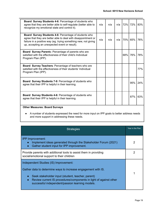| Board Survey Students 4-6: Percentage of students who<br>agree that they are better able to self-regulate (better able to<br>recognize my emotional state and control it).                                                                  | n/a | n/a | n/a |     | 72% 72% | 83% |
|---------------------------------------------------------------------------------------------------------------------------------------------------------------------------------------------------------------------------------------------|-----|-----|-----|-----|---------|-----|
| Board Survey Students 4-6: Percentage of students who<br>agree that they are better able to deal with disappointment or<br>failure in a positive way (eg. trying something new, not giving<br>up, accepting an unexpected event or result). | n/a | n/a | n/a |     | 70% 65% | 76% |
| <b>Board Survey Parents: Percentage of parents who are</b><br>satisfied with the effectiveness of their child's Individual<br>Program Plan (IPP).                                                                                           |     |     |     | 68% | 76%     | 78% |
| Board Survey Teachers: Percentage of teachers who are<br>satisfied with the effectiveness of their students' Individual<br>Program Plan (IPP).                                                                                              |     |     |     |     |         | 77% |
| <b>Board Survey Students 7-9: Percentage of students who</b><br>agree that their IPP is helpful in their learning.                                                                                                                          |     |     |     |     | 95%     | 24% |
| <b>Board Survey Students 4-6: Percentage of students who</b><br>agree that their IPP is helpful in their learning.                                                                                                                          |     |     |     |     | 87%     | 63% |
| <b>Other Measures: Board Surveys</b>                                                                                                                                                                                                        |     |     |     |     |         |     |

● A number of students expressed the need for more input on IPP goals to better address needs and more support in addressing these needs.

| <b>Strategies</b>                                                                                                                                                                                                                                                                                             |   |  |  |  |  |  |
|---------------------------------------------------------------------------------------------------------------------------------------------------------------------------------------------------------------------------------------------------------------------------------------------------------------|---|--|--|--|--|--|
| <b>IPP Improvement:</b><br>Implement ideas generated through the Stakeholder Forum (2021)<br>$\bullet$<br>Gather student input for IPP improvement.<br>$\bullet$                                                                                                                                              | 2 |  |  |  |  |  |
| Provide parents with additional tools to assist them in providing<br>social/emotional support to their children                                                                                                                                                                                               |   |  |  |  |  |  |
| Independent Studies (IS) Improvement:<br>Gather data to determine ways to increase engagement with IS.<br>Seek stakeholder input (student, teacher, parent)<br>$\bullet$<br>Review current IS procedures/components in light of against other<br>$\bullet$<br>successful independent/passion learning models. |   |  |  |  |  |  |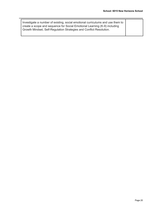| I Investigate a number of existing, social emotional curriculums and use them to |  |
|----------------------------------------------------------------------------------|--|
| create a scope and sequence for Social Emotional Learning (K-9) including        |  |
| Growth Mindset, Self-Regulation Strategies and Conflict Resolution.              |  |
|                                                                                  |  |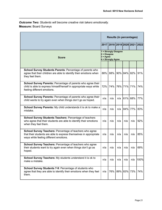<span id="page-20-0"></span>*Outcome Two: Students will become creative risk takers emotionally.* **Measure:** Board Surveys

|                                                                                                                                                                         | <b>Results (in percentages)</b>                                                     |                               |     |             |             |      |
|-------------------------------------------------------------------------------------------------------------------------------------------------------------------------|-------------------------------------------------------------------------------------|-------------------------------|-----|-------------|-------------|------|
|                                                                                                                                                                         |                                                                                     | 2017 2018 2019 2020 2021 2022 |     |             |             |      |
| <b>Score</b>                                                                                                                                                            | 1 = Strongly Disagree<br>$2 = Disagree$<br>$3 = \text{Agree}$<br>4 = Strongly Agree |                               |     |             |             |      |
|                                                                                                                                                                         |                                                                                     |                               |     |             |             |      |
| School Survey Students Parents: Percentage of parents who<br>agree that their children are able to identify their emotions when<br>they feel them.                      | 88%                                                                                 | 88%                           |     |             | 90% 84% 82% | 91%  |
| School Survey Parents: Percentage of parents who agree their<br>child is able to express himself/herself in appropriate ways while<br>feeling different emotions.       | 72%                                                                                 | 74%                           |     | 76% 71%     | 71%         | 74%  |
| School Survey Parents: Percentage of parents who agree their<br>child wants to try again even when things don't go as hoped.                                            | n/a                                                                                 | n/a                           | n/a | 61%         | 68%         | 77%  |
| School Survey Parents: My child understands it is ok to make a<br>mistake.                                                                                              | n/a                                                                                 | n/a                           | n/a | 84%         | 77%         | 83%  |
| School Survey Students Teachers: Percentage of teachers<br>who agree that their students are able to identify their emotions<br>when they feel them.                    | n/a                                                                                 | n/a                           | n/a | n/a         | n/a         | 92%  |
| School Survey Teachers: Percentage of teachers who agree<br>that their students are able to express themselves in appropriate<br>ways while feeling different emotions. | n/a                                                                                 | n/a                           | n/a | n/a         | n/a         | 85%  |
| School Survey Teachers: Percentage of teachers who agree<br>their students want to try again even when things don't go as<br>hoped.                                     | n/a                                                                                 | n/a                           | n/a | n/a         | n/a         | 69%  |
| School Survey Teachers: My students understand it is ok to<br>make a mistake.                                                                                           | n/a                                                                                 | n/a                           | n/a | n/a         | n/a         | 100% |
| School Survey Students 7-9: Percentage of students who<br>agree that they are able to identify their emotions when they feel<br>them.                                   | n/a                                                                                 | 76%                           |     | 89% 83% 73% |             | 74%  |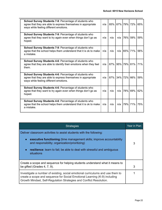| <b>School Survey Students 7-9: Percentage of students who</b><br>agree that they are able to express themselves in appropriate<br>ways while feeling different emotions. | n/a | 85%    | 67% 79% 72%     |                 | 65% |
|--------------------------------------------------------------------------------------------------------------------------------------------------------------------------|-----|--------|-----------------|-----------------|-----|
| School Survey Students 7-9: Percentage of students who<br>agree that they want to try again even when things don't go as<br>hoped.                                       | n/a | n/a    | n/a             | 76%  59%        | 59% |
| School Survey Students 7-9: Percentage of students who<br>agree that the school helps them understand that it is ok to make<br>a mistake.                                | n/a | n/a    | n/a             | 65% 71%         | 56% |
| School Survey Students 4-6: Percentage of students who<br>agree that they are able to identify their emotions when they feel<br>them.                                    | n/a | $87\%$ | 95% 79% 81%     |                 | 71% |
| School Survey Students 4-6: Percentage of students who<br>agree that they are able to express themselves in appropriate<br>ways while feeling different emotions.        | n/a |        | 87% 34% 72% 66% |                 | 59% |
| School Survey Students 4-6: Percentage of students who<br>agree that they want to try again even when things don't go as<br>hoped.                                       | n/a | n/a    | n/a             | 78%  69%        | 62% |
| School Survey Students 4-6: Percentage of students who<br>agree that the school helps them understand that it is ok to make<br>a mistake.                                | n/a | n/a    | n/a             | <b>179% 71%</b> | 75% |

| <b>Strategies</b>                                                                                                                                                                                                                          |  |  |  |  |  |  |
|--------------------------------------------------------------------------------------------------------------------------------------------------------------------------------------------------------------------------------------------|--|--|--|--|--|--|
| Deliver classroom activities to assist students with the following:                                                                                                                                                                        |  |  |  |  |  |  |
| executive functioning (time management skills; improve accountability<br>$\bullet$<br>and responsibility; organization/prioritizing)<br>resilience: learn to fail; be able to deal with stressful and ambiguous<br>$\bullet$<br>situations |  |  |  |  |  |  |
|                                                                                                                                                                                                                                            |  |  |  |  |  |  |
| Create a scope and sequence for helping students understand what it means to<br>be gifted (Grades 4, 7, 9).                                                                                                                                |  |  |  |  |  |  |
| Investigate a number of existing, social emotional curriculums and use them to<br>create a scope and sequence for Social Emotional Learning (K-9) including<br>Growth Mindset, Self-Regulation Strategies and Conflict Resolution.         |  |  |  |  |  |  |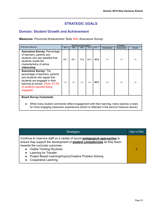# **STRATEGIC GOALS**

# <span id="page-22-1"></span><span id="page-22-0"></span>**Domain: Student Growth and Achievement**

*Measures: Provincial Achievement Tests N/A; Assurance Survey*

|                                                                                                                                                                                                                |      |      | Results (in percentages) |      |      | <b>Evaluation</b>  |             |         |  |
|----------------------------------------------------------------------------------------------------------------------------------------------------------------------------------------------------------------|------|------|--------------------------|------|------|--------------------|-------------|---------|--|
| <b>Performance Measure</b>                                                                                                                                                                                     | 2017 | 2018 | 2019                     | 2020 | 2021 | <b>Achievement</b> | Improvement | Overall |  |
| <b>Assurance Survey: Percentage</b><br>of teachers, parents and<br>students who are satisfied that<br>students model the<br>characteristics of active<br>citizenship.                                          | 84.1 | 80.1 | 79.8                     | 84.4 | 83.9 | n/a                | n/a         | n/a     |  |
| <b>Assurance Survey: The</b><br>percentage of teachers, parents<br>and students who agree that<br>students are engaged in their<br>learning at school. (Note: 67.5%<br>of students reported being<br>engaged). | n/a  | n/a  | n/a                      | n/a  | 86.9 | n/a                | n/a         | n/a     |  |
| <b>Board Survey Comments</b>                                                                                                                                                                                   |      |      |                          |      |      |                    |             |         |  |

● While many student comments reflect engagement with their learning, many express a need for more engaging classroom experiences (which is reflected in the second measure above).

| <b>Strategies</b>                                                                                                                                                                                                                                                                                                                                                       | Year in Plan |
|-------------------------------------------------------------------------------------------------------------------------------------------------------------------------------------------------------------------------------------------------------------------------------------------------------------------------------------------------------------------------|--------------|
| Continue to inservice staff on a variety of sound pedagogical approaches to<br>ensure they support the development of <b>student competencies</b> as they teach<br>towards the curricular outcomes.<br><b>Visible Thinking Routines</b><br>Learning for Transfer<br>Project Based Learning/Inquiry/Creative Problem Solving<br>$\bullet$<br><b>Cooperative Learning</b> |              |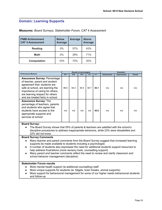### <span id="page-23-0"></span>**Domain: Learning Supports**

### *Measures: Board Surveys, Stakeholder Forum, CAT 4 Assessment*

| <b>FNMI Achievement</b><br><b>CAT 4 Assessment</b> | <b>Below</b><br>Average | <b>Average</b> | <b>Above</b><br><b>Average</b> |
|----------------------------------------------------|-------------------------|----------------|--------------------------------|
| <b>Reading</b>                                     | $0\%$                   | 57%            | 43%                            |
| <b>Math</b>                                        | $0\%$                   | 29%            | 71%                            |
| <b>Computation</b>                                 | 10%                     | 70%            | 20%                            |

|                                                                                                                                                                                                                                                       |      |      | Results (in percentages) |      |      | <b>Evaluation</b>  |             |         |
|-------------------------------------------------------------------------------------------------------------------------------------------------------------------------------------------------------------------------------------------------------|------|------|--------------------------|------|------|--------------------|-------------|---------|
| <b>Performance Measure</b>                                                                                                                                                                                                                            | 2017 | 2018 | 2019                     | 2020 | 2021 | <b>Achievement</b> | Improvement | Overall |
| <b>Assurance Survey: Percentage</b><br>of teacher, parent and student<br>agreement that: students are<br>safe at school, are learning the<br>importance of caring for others,<br>are learning respect for others<br>and are treated fairly in school. | 86.9 | 84.4 | 84.9                     | 90.7 | 92.1 | n/a                | n/a         | n/a     |
| <b>Assurance Survey: The</b><br>percentage of teachers, parents<br>and students who agree that<br>students have access to the<br>appropriate supports and<br>services at school.                                                                      | n/a  | n/a  | n/a                      | n/a  | 82.6 | n/a                | n/a         | n/a     |

#### **Board Survey:**

• The Board Survey shows that 55% of parents & teachers are satisfied with the school's discipline procedures to address inappropriate behaviors, while 23% were dissatisfied and 22% did not know.

#### **Board Survey Comments**

- Many teacher and parent comments from the Board Survey suggest that increased learning supports be made available to students including a psychologist.
- A number of students also expressed the need for additional students support resources to help address frustrations (more sensory tools, counselling support)
- Many parent and teacher comments reflect the need to review and clarify classroom and school behavior management (discipline)

### **Stakeholder Forum results**

- More mental health support (ie.additional counselling) staff.
- More unique supports for students (ie. fidgets, brain breaks, animal supports).
- More support for behavioural management for some of our higher needs behavioural students and follow-up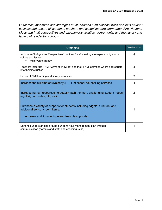*Outcomes, measures and strategies must address First Nations,Métis and Inuit student success and ensure all students, teachers and school leaders learn about First Nations, Métis and Inuit perspectives and experiences, treaties, agreements, and the history and legacy of residential schools*

| <b>Strategies</b>                                                                                                                                                | Years in the Plan |
|------------------------------------------------------------------------------------------------------------------------------------------------------------------|-------------------|
| Include an "Indigenous Perspectives" portion of staff meetings to explore indigenous<br>culture and issues.<br>Multi-year strategy                               | 4                 |
| Teachers integrate FNMI "ways of knowing" and their FNMI activities where appropriate<br>into their instruction.                                                 | 4                 |
| Expand FNMI learning and library resources.                                                                                                                      | $\mathcal{P}$     |
| Increase the full-time equivalency (FTE) of school counselling services                                                                                          | 4                 |
| Increase human resources to better match the more challenging student needs<br>(eg. EA; counsellor; OT, etc)                                                     | $\overline{2}$    |
| Purchase a variety of supports for students including fidgets, furniture, and<br>additional sensory room items.<br>seek additional unique and feasible supports. |                   |
| Enhance understanding around our behaviour management plan through<br>communication (parents and staff) and coaching (staff).                                    |                   |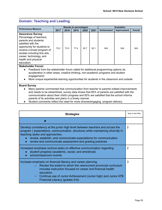# <span id="page-25-0"></span>**Domain: Teaching and Leading**

|                                                                                                                                                                                                                                                                |                              |      | Results (in percentages) |      | <b>Evaluation</b> |                    |             |                |
|----------------------------------------------------------------------------------------------------------------------------------------------------------------------------------------------------------------------------------------------------------------|------------------------------|------|--------------------------|------|-------------------|--------------------|-------------|----------------|
| <b>Performance Measure</b>                                                                                                                                                                                                                                     | 2019<br>2018<br>2020<br>2017 |      |                          |      | 2021              | <b>Achievement</b> | Improvement | <b>Overall</b> |
| <b>Assurance Survey:</b><br>Percentage of teachers,<br>parents and students<br>satisfied with the<br>opportunity for students to<br>receive a broad program of<br>studies including fine arts,<br>career, technology, and<br>health and physical<br>education. | 75.2                         | 73.0 | 77.4                     | 83.7 | 82.1              | N/A                | N/A         | N/A            |

#### **Stakeholder Forum:**

● Feedback from the stakeholder forum called for additional programming options (ie. acceleration in other areas; creative thinking, non-academic programs and student engagement).

● More unique experiential learning opportunities for students in the classroom and outside.

#### **Board Survey**

- Many parents commented that communication from teacher to parents indeed improvements and needs to be streamlined, survey data shows that 85% of parents are satisfied with the communication about their child's progress and 82% are satisfied that the school informs parents of its activities and plans in a timely manner.
- Student comments reflect the need for more diverse/engaging program delivery.

| <b>Strategies</b>                                                                                                                                                                                                                                                                                                                                           | Year In the Plan |  |  |  |  |
|-------------------------------------------------------------------------------------------------------------------------------------------------------------------------------------------------------------------------------------------------------------------------------------------------------------------------------------------------------------|------------------|--|--|--|--|
|                                                                                                                                                                                                                                                                                                                                                             |                  |  |  |  |  |
| Develop consistency at the junior high level between teachers and across the<br>program (expectations, communication, structure) while maintaining diversity in<br>teaching styles and approaches<br>review, establsih, and communicate expectations for communication<br>$\bullet$<br>review and communicate assessment and grading practices<br>$\bullet$ |                  |  |  |  |  |
| Increased emphasis (school-wide) on effective communication regarding<br>student progress (academic, social, and emotional)<br>$\bullet$<br>school/classroom events                                                                                                                                                                                         |                  |  |  |  |  |
| Increase emphasis on financial literacy and career planning.<br>Review the extent to which the new/current provincial curriculum<br>$\circ$<br>includes instruction focused on career and financial health<br>education.<br>Continue use of Junior Achievement (Junior high) and Junior ATB<br>$\circ$<br>Financial Literacy (grades 5-6).                  |                  |  |  |  |  |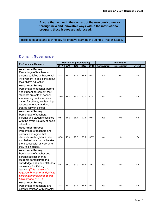| Ensure that, either in the context of the new curriculum, or<br>$\circ$<br>through new and innovative ways within the instructional<br>program, these issues are addressed. |  |
|-----------------------------------------------------------------------------------------------------------------------------------------------------------------------------|--|
| Increase spaces and technology for creative learning including a "Maker Space."   1                                                                                         |  |

# <span id="page-26-0"></span>**Domain: Governance**

| <b>Performance Measure</b>                                                                                                                                                                                                                                                                            | <b>Results (in percentages)</b> |      | <b>Evaluation</b> |      |      |                    |             |                |
|-------------------------------------------------------------------------------------------------------------------------------------------------------------------------------------------------------------------------------------------------------------------------------------------------------|---------------------------------|------|-------------------|------|------|--------------------|-------------|----------------|
|                                                                                                                                                                                                                                                                                                       | 2017                            | 2018 | 2019              | 2020 | 2021 | <b>Achievement</b> | Improvement | <b>Overall</b> |
| <b>Assurance Survey:</b><br>Percentage of teachers and<br>parents satisfied with parental<br>involvement in decisions about<br>their child's education.                                                                                                                                               | 87.8                            | 84.2 | 81.4              | 87.2 | 91.1 | N/A                | N/A         | N/A            |
| <b>Assurance Survey:</b><br>Percentage of teacher, parent<br>and student agreement that:<br>students are safe at school,<br>are learning the importance of<br>caring for others, are learning<br>respect for others and are<br>treated fairly in school.                                              | 86.9                            | 84.4 | 84.9              | 90.7 | 92.1 | n/a                | n/a         | n/a            |
| <b>Assurance Survey:</b><br>Percentage of teachers,<br>parents and students satisfied<br>with the overall quality of basic<br>education.                                                                                                                                                              | 92.1                            | 88.3 | 88.4              | 92.2 | 93.8 | n/a                | n/a         | n/a            |
| <b>Assurance Survey:</b><br>Percentage of teachers and<br>parents who agree that<br>students are taught attitudes<br>and behaviours that will make<br>them successful at work when<br>they finish school.                                                                                             | 82.8                            | 77.4 | 79.6              | 83.0 | 92.7 | n/a                | n/a         | n/a            |
| <b>Assurance Survey:</b><br>Percentage of teacher and<br>parent satisfaction that<br>students demonstrate the<br>knowledge, skills and attitudes<br>necessary for lifelong<br>learning. (This measure is<br>required for charter and private<br>school authorities that do not<br>have grades 10-12.) | 55.2                            | 55.0 | 51.9              | 51.9 | 84.1 | n/a                | n/a         | n/a            |
| <b>Assurance Survey:</b><br>Percentage of teachers and<br>parents satisfied with parental                                                                                                                                                                                                             | 87.8                            | 84.2 | 81.4              | 87.2 | 91.1 | n/a                | n/a         | n/a            |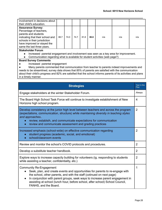| involvement in decisions about                                                                     |      |      |      |      |      |     |     |     |
|----------------------------------------------------------------------------------------------------|------|------|------|------|------|-----|-----|-----|
| their child's education.                                                                           |      |      |      |      |      |     |     |     |
| <b>Assurance Survey:</b>                                                                           |      |      |      |      |      |     |     |     |
| Percentage of teachers,                                                                            |      |      |      |      |      |     |     |     |
| parents and students                                                                               |      |      |      |      |      |     |     |     |
| indicating that their school and                                                                   | 88.7 | 74 0 | 74.7 | 81.8 | 86.8 | n/a | n/a | n/a |
| schools in their jurisdiction                                                                      |      |      |      |      |      |     |     |     |
| have improved or stayed the                                                                        |      |      |      |      |      |     |     |     |
| same the last three years.                                                                         |      |      |      |      |      |     |     |     |
| <b>Stakeholder Forum</b>                                                                           |      |      |      |      |      |     |     |     |
| Increased parental engagement and involvement was seen as a key area for improvement.<br>$\bullet$ |      |      |      |      |      |     |     |     |
| Communication regarding what is available for student activities (web page?)                       |      |      |      |      |      |     |     |     |
|                                                                                                    |      |      |      |      |      |     |     |     |

#### **Board Survey Comments**

● Increased parental engagement

● Many parents commented that communication from teacher to parents indeed improvements and needs to be streamlined, survey data shows that 85% of parents are satisfied with the communication about their child's progress and 82% are satisfied that the school informs parents of its activities and plans in a timely manner.

| <b>Strategies</b>                                                                                                                                                                                                                                                                                                                                                                                      | Year in the<br>Plan |  |  |  |  |
|--------------------------------------------------------------------------------------------------------------------------------------------------------------------------------------------------------------------------------------------------------------------------------------------------------------------------------------------------------------------------------------------------------|---------------------|--|--|--|--|
| Engage stakeholders at the winter Stakeholder Forum.                                                                                                                                                                                                                                                                                                                                                   |                     |  |  |  |  |
| The Board High School Task Force will continue to investigate establishment of New<br>Horizons high school program.                                                                                                                                                                                                                                                                                    | 4                   |  |  |  |  |
| Develop consistency at the junior high level between teachers and across the program<br>(expectations, communication, structure) while maintaining diversity in teaching styles<br>and approaches<br>review, establsih, and communicate expectations for communication<br>$\bullet$<br>review and communicate assessment and grading practices                                                         | $\overline{2}$      |  |  |  |  |
| Increased emphasis (school-wide) on effective communication regarding<br>student progress (academic, social, and emotional)<br>school/classroom events<br>$\bullet$                                                                                                                                                                                                                                    | $\overline{2}$      |  |  |  |  |
| Review and monitor the school's COVID protocols and procedures.                                                                                                                                                                                                                                                                                                                                        |                     |  |  |  |  |
| Develop a substitute teacher handbook.                                                                                                                                                                                                                                                                                                                                                                 |                     |  |  |  |  |
| Explore ways to increase capacity building for volunteers (ig. responding to students<br>while assisting a teacher, confidentiality, etc.)                                                                                                                                                                                                                                                             |                     |  |  |  |  |
| Community Re-Engagement<br>Seek, plan, and create events and opportunities for parents to re-engage with<br>$\bullet$<br>the school, other parents, and with the staff (cotinued on next page)<br>In conjunction with parent groups, seek ways to increase parent engagement in<br>$\bullet$<br>assisting at school (lunch hour, before school, after school) School Council,<br>FANHS, and the Board. |                     |  |  |  |  |